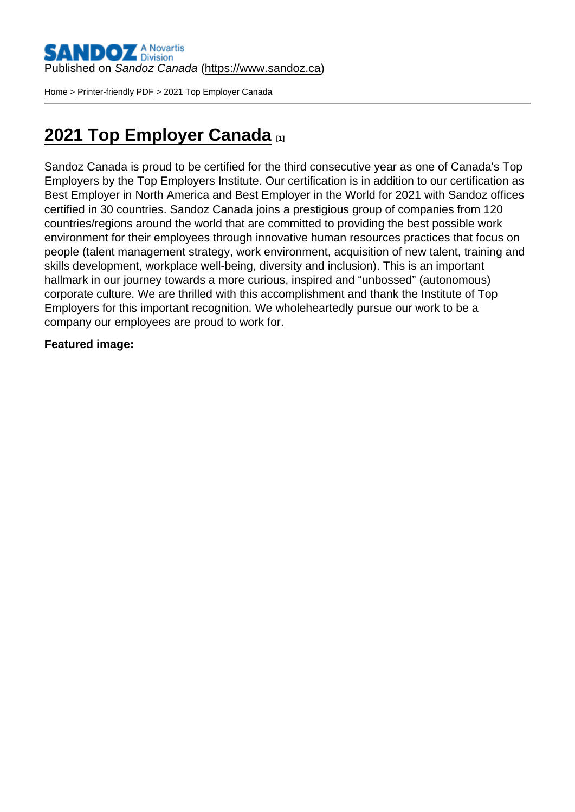[Home](https://www.sandoz.ca/en) > [Printer-friendly PDF](https://www.sandoz.ca/en/printpdf) > 2021 Top Employer Canada

## [2021 Top Employer Canada](https://www.sandoz.ca/en/2021-top-employer-canada)

Sandoz Canada is proud to be certified for the third consecutive year as one of Canada's Top Employers by the Top Employers Institute. Our certification is in addition to our certification as Best Employer in North America and Best Employer in the World for 2021 with Sandoz offices certified in 30 countries. Sandoz Canada joins a prestigious group of companies from 120 countries/regions around the world that are committed to providing the best possible work environment for their employees through innovative human resources practices that focus on people (talent management strategy, work environment, acquisition of new talent, training and skills development, workplace well-being, diversity and inclusion). This is an important hallmark in our journey towards a more curious, inspired and "unbossed" (autonomous) corporate culture. We are thrilled with this accomplishment and thank the Institute of Top Employers for this important recognition. We wholeheartedly pursue our work to be a company our employees are proud to work for.

Featured image :